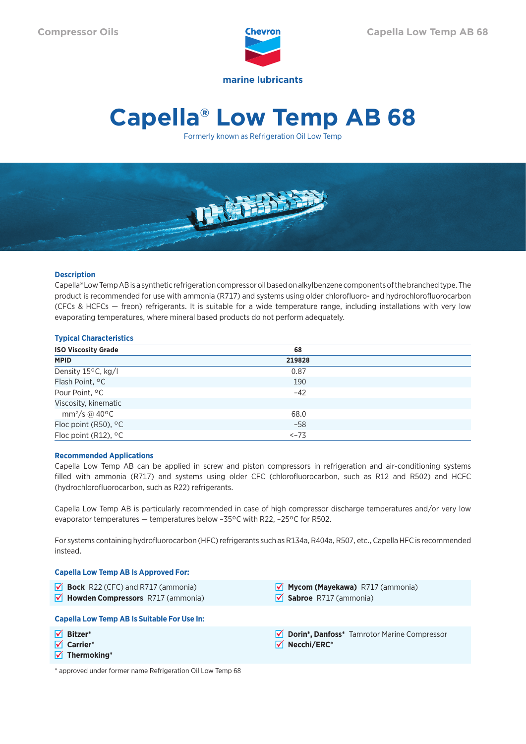

# **Capella® Low Temp AB 68**

Formerly known as Refrigeration Oil Low Temp



# **Description**

Capella® Low Temp AB is a synthetic refrigeration compressor oil based on alkylbenzene components of the branched type. The product is recommended for use with ammonia (R717) and systems using older chlorofluoro- and hydrochlorofluorocarbon (CFCs & HCFCs — freon) refrigerants. It is suitable for a wide temperature range, including installations with very low evaporating temperatures, where mineral based products do not perform adequately.

# **Typical Characteristics**

| <b>ISO Viscosity Grade</b>    | 68     |  |
|-------------------------------|--------|--|
| <b>MPID</b>                   | 219828 |  |
| Density 15°C, kg/l            | 0.87   |  |
| Flash Point, <sup>o</sup> C   | 190    |  |
| Pour Point, °C                | $-42$  |  |
| Viscosity, kinematic          |        |  |
| mm <sup>2</sup> /s @ 40°C     | 68.0   |  |
| Floc point (R50), °C          | $-58$  |  |
| Floc point (R12), $\degree$ C | $<-73$ |  |

#### **Recommended Applications**

Capella Low Temp AB can be applied in screw and piston compressors in refrigeration and air-conditioning systems filled with ammonia (R717) and systems using older CFC (chlorofluorocarbon, such as R12 and R502) and HCFC (hydrochlorofluorocarbon, such as R22) refrigerants.

Capella Low Temp AB is particularly recommended in case of high compressor discharge temperatures and/or very low evaporator temperatures — temperatures below –35°C with R22, –25°C for R502.

For systems containing hydrofluorocarbon (HFC) refrigerants such as R134a, R404a, R507, etc., Capella HFC is recommended instead.

#### **Capella Low Temp AB Is Approved For:**

**Bock** R22 (CFC) and R717 (ammonia) **M** Howden Compressors R717 (ammonia) **Mycom (Mayekawa)** R717 (ammonia) **Sabroe** R717 (ammonia) **Capella Low Temp AB Is Suitable For Use In: Bitzer\* Carrier\* Thermoking\* Dorin\*, Danfoss\*** Tamrotor Marine Compressor **Necchi/ERC\***

\* approved under former name Refrigeration Oil Low Temp 68